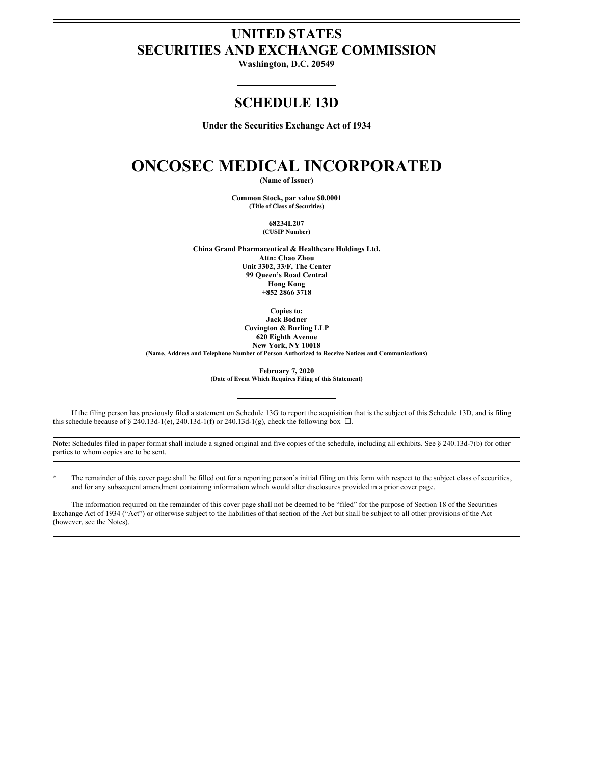# **UNITED STATES SECURITIES AND EXCHANGE COMMISSION**

**Washington, D.C. 20549**

# **SCHEDULE 13D**

**Under the Securities Exchange Act of 1934**

# **ONCOSEC MEDICAL INCORPORATED**

**(Name of Issuer)**

**Common Stock, par value \$0.0001 (Title of Class of Securities)**

> **68234L207 (CUSIP Number)**

**China Grand Pharmaceutical & Healthcare Holdings Ltd.**

**Attn: Chao Zhou Unit 3302, 33/F, The Center 99 Queen's Road Central Hong Kong +852 2866 3718**

**Copies to: Jack Bodner Covington & Burling LLP 620 Eighth Avenue New York, NY 10018**

**(Name, Address and Telephone Number of Person Authorized to Receive Notices and Communications)**

**February 7, 2020 (Date of Event Which Requires Filing of this Statement)**

If the filing person has previously filed a statement on Schedule 13G to report the acquisition that is the subject of this Schedule 13D, and is filing this schedule because of § 240.13d-1(e), 240.13d-1(f) or 240.13d-1(g), check the following box  $\Box$ .

**Note:** Schedules filed in paper format shall include a signed original and five copies of the schedule, including all exhibits. See § 240.13d-7(b) for other parties to whom copies are to be sent.

The remainder of this cover page shall be filled out for a reporting person's initial filing on this form with respect to the subject class of securities, and for any subsequent amendment containing information which would alter disclosures provided in a prior cover page.

The information required on the remainder of this cover page shall not be deemed to be "filed" for the purpose of Section 18 of the Securities Exchange Act of 1934 ("Act") or otherwise subject to the liabilities of that section of the Act but shall be subject to all other provisions of the Act (however, see the Notes).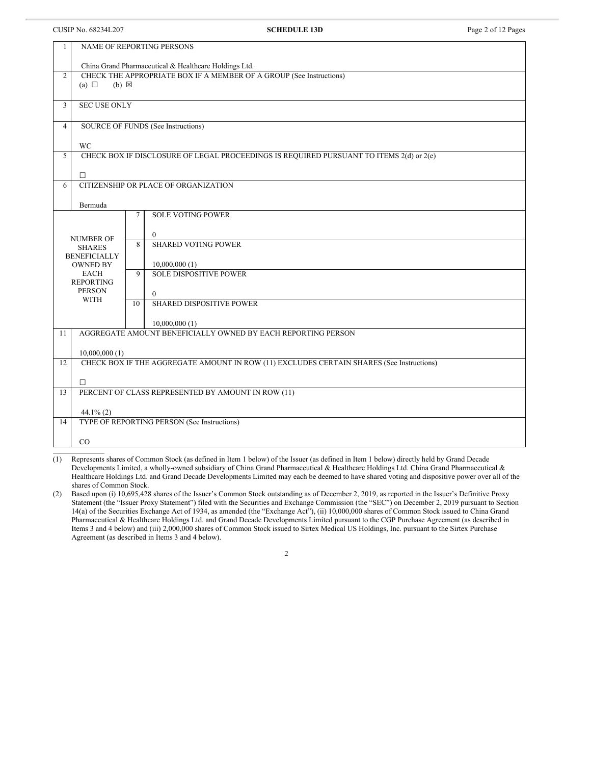#### CUSIP No. 68234L207 **SCHEDULE 13D** Page 2 of 12 Pages

|                | NAME OF REPORTING PERSONS<br>$\mathbf{1}$          |              |                                                                                          |  |  |
|----------------|----------------------------------------------------|--------------|------------------------------------------------------------------------------------------|--|--|
|                |                                                    |              |                                                                                          |  |  |
|                |                                                    |              | China Grand Pharmaceutical & Healthcare Holdings Ltd.                                    |  |  |
| 2              | (a) $\Box$<br>$(b) \boxtimes$                      |              | CHECK THE APPROPRIATE BOX IF A MEMBER OF A GROUP (See Instructions)                      |  |  |
|                |                                                    |              |                                                                                          |  |  |
| $\overline{3}$ | <b>SEC USE ONLY</b>                                |              |                                                                                          |  |  |
|                |                                                    |              |                                                                                          |  |  |
| $\overline{4}$ |                                                    |              | SOURCE OF FUNDS (See Instructions)                                                       |  |  |
|                |                                                    |              |                                                                                          |  |  |
|                | <b>WC</b>                                          |              |                                                                                          |  |  |
| 5              |                                                    |              | CHECK BOX IF DISCLOSURE OF LEGAL PROCEEDINGS IS REQUIRED PURSUANT TO ITEMS 2(d) or 2(e)  |  |  |
|                |                                                    |              |                                                                                          |  |  |
|                | $\Box$                                             |              |                                                                                          |  |  |
| 6              |                                                    |              | CITIZENSHIP OR PLACE OF ORGANIZATION                                                     |  |  |
|                |                                                    |              |                                                                                          |  |  |
|                | Bermuda                                            | 7            | <b>SOLE VOTING POWER</b>                                                                 |  |  |
|                |                                                    |              |                                                                                          |  |  |
|                |                                                    | $\mathbf{0}$ |                                                                                          |  |  |
|                | <b>NUMBER OF</b><br><b>SHARES</b>                  | 8            | <b>SHARED VOTING POWER</b>                                                               |  |  |
|                | <b>BENEFICIALLY</b>                                |              |                                                                                          |  |  |
|                | <b>OWNED BY</b>                                    |              | 10,000,000(1)                                                                            |  |  |
|                | <b>EACH</b>                                        | $\mathbf Q$  | <b>SOLE DISPOSITIVE POWER</b>                                                            |  |  |
|                | <b>REPORTING</b>                                   |              |                                                                                          |  |  |
|                | <b>PERSON</b><br><b>WITH</b>                       | $\theta$     |                                                                                          |  |  |
|                |                                                    | 10           | SHARED DISPOSITIVE POWER                                                                 |  |  |
|                |                                                    |              |                                                                                          |  |  |
|                |                                                    |              | 10,000,000(1)                                                                            |  |  |
| 11             |                                                    |              | AGGREGATE AMOUNT BENEFICIALLY OWNED BY EACH REPORTING PERSON                             |  |  |
|                | 10,000,000(1)                                      |              |                                                                                          |  |  |
| 12             |                                                    |              | CHECK BOX IF THE AGGREGATE AMOUNT IN ROW (11) EXCLUDES CERTAIN SHARES (See Instructions) |  |  |
|                |                                                    |              |                                                                                          |  |  |
|                | $\Box$                                             |              |                                                                                          |  |  |
| 13             | PERCENT OF CLASS REPRESENTED BY AMOUNT IN ROW (11) |              |                                                                                          |  |  |
|                |                                                    |              |                                                                                          |  |  |
|                | $44.1\%$ (2)                                       |              |                                                                                          |  |  |
| 14             |                                                    |              | TYPE OF REPORTING PERSON (See Instructions)                                              |  |  |
|                |                                                    |              |                                                                                          |  |  |
|                | CO                                                 |              |                                                                                          |  |  |

(1) Represents shares of Common Stock (as defined in Item 1 below) of the Issuer (as defined in Item 1 below) directly held by Grand Decade Developments Limited, a wholly-owned subsidiary of China Grand Pharmaceutical & Healthcare Holdings Ltd. China Grand Pharmaceutical & Healthcare Holdings Ltd. and Grand Decade Developments Limited may each be deemed to have shared voting and dispositive power over all of the shares of Common Stock.

(2) Based upon (i) 10,695,428 shares of the Issuer's Common Stock outstanding as of December 2, 2019, as reported in the Issuer's Definitive Proxy Statement (the "Issuer Proxy Statement") filed with the Securities and Exchange Commission (the "SEC") on December 2, 2019 pursuant to Section 14(a) of the Securities Exchange Act of 1934, as amended (the "Exchange Act"), (ii) 10,000,000 shares of Common Stock issued to China Grand Pharmaceutical & Healthcare Holdings Ltd. and Grand Decade Developments Limited pursuant to the CGP Purchase Agreement (as described in Items 3 and 4 below) and (iii) 2,000,000 shares of Common Stock issued to Sirtex Medical US Holdings, Inc. pursuant to the Sirtex Purchase Agreement (as described in Items 3 and 4 below).

2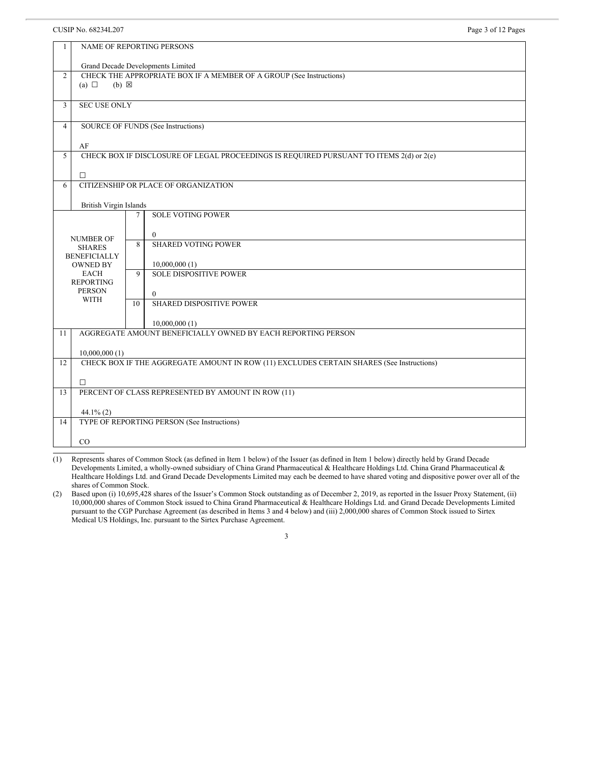## CUSIP No. 68234L207 Page 3 of 12 Pages

| 1                                                                  | NAME OF REPORTING PERSONS                                                                            |                                                                                         |  |  |
|--------------------------------------------------------------------|------------------------------------------------------------------------------------------------------|-----------------------------------------------------------------------------------------|--|--|
|                                                                    | Grand Decade Developments Limited                                                                    |                                                                                         |  |  |
| $\overline{2}$                                                     | CHECK THE APPROPRIATE BOX IF A MEMBER OF A GROUP (See Instructions)<br>$(a) \Box$<br>$(b) \boxtimes$ |                                                                                         |  |  |
| $\overline{3}$                                                     | <b>SEC USE ONLY</b>                                                                                  |                                                                                         |  |  |
| $\overline{4}$                                                     | SOURCE OF FUNDS (See Instructions)                                                                   |                                                                                         |  |  |
|                                                                    | AF                                                                                                   |                                                                                         |  |  |
| 5                                                                  |                                                                                                      | CHECK BOX IF DISCLOSURE OF LEGAL PROCEEDINGS IS REQUIRED PURSUANT TO ITEMS 2(d) or 2(e) |  |  |
|                                                                    | $\Box$                                                                                               |                                                                                         |  |  |
| 6                                                                  |                                                                                                      | CITIZENSHIP OR PLACE OF ORGANIZATION                                                    |  |  |
|                                                                    | British Virgin Islands                                                                               |                                                                                         |  |  |
| <b>SOLE VOTING POWER</b><br>$\tau$<br>$\theta$<br><b>NUMBER OF</b> |                                                                                                      |                                                                                         |  |  |
|                                                                    | <b>SHARES</b><br><b>BENEFICIALLY</b>                                                                 | <b>SHARED VOTING POWER</b><br>8                                                         |  |  |
|                                                                    | <b>OWNED BY</b>                                                                                      | 10,000,000(1)                                                                           |  |  |
|                                                                    | <b>EACH</b><br><b>REPORTING</b>                                                                      | <b>SOLE DISPOSITIVE POWER</b><br>9                                                      |  |  |
|                                                                    | <b>PERSON</b><br><b>WITH</b>                                                                         | $\theta$                                                                                |  |  |
|                                                                    |                                                                                                      | <b>SHARED DISPOSITIVE POWER</b><br>10                                                   |  |  |
|                                                                    |                                                                                                      | 10,000,000(1)                                                                           |  |  |
| 11                                                                 |                                                                                                      | AGGREGATE AMOUNT BENEFICIALLY OWNED BY EACH REPORTING PERSON                            |  |  |
|                                                                    | 10,000,000(1)                                                                                        |                                                                                         |  |  |
| 12                                                                 | CHECK BOX IF THE AGGREGATE AMOUNT IN ROW (11) EXCLUDES CERTAIN SHARES (See Instructions)             |                                                                                         |  |  |
|                                                                    | $\Box$                                                                                               |                                                                                         |  |  |
| 13                                                                 | PERCENT OF CLASS REPRESENTED BY AMOUNT IN ROW (11)                                                   |                                                                                         |  |  |
|                                                                    | $44.1\%$ (2)                                                                                         |                                                                                         |  |  |
| 14                                                                 | TYPE OF REPORTING PERSON (See Instructions)                                                          |                                                                                         |  |  |
|                                                                    | CO                                                                                                   |                                                                                         |  |  |
|                                                                    |                                                                                                      |                                                                                         |  |  |

(1) Represents shares of Common Stock (as defined in Item 1 below) of the Issuer (as defined in Item 1 below) directly held by Grand Decade Developments Limited, a wholly-owned subsidiary of China Grand Pharmaceutical & Healthcare Holdings Ltd. China Grand Pharmaceutical & Healthcare Holdings Ltd. and Grand Decade Developments Limited may each be deemed to have shared voting and dispositive power over all of the shares of Common Stock.

(2) Based upon (i) 10,695,428 shares of the Issuer's Common Stock outstanding as of December 2, 2019, as reported in the Issuer Proxy Statement, (ii) 10,000,000 shares of Common Stock issued to China Grand Pharmaceutical & Healthcare Holdings Ltd. and Grand Decade Developments Limited pursuant to the CGP Purchase Agreement (as described in Items 3 and 4 below) and (iii) 2,000,000 shares of Common Stock issued to Sirtex Medical US Holdings, Inc. pursuant to the Sirtex Purchase Agreement.

## 3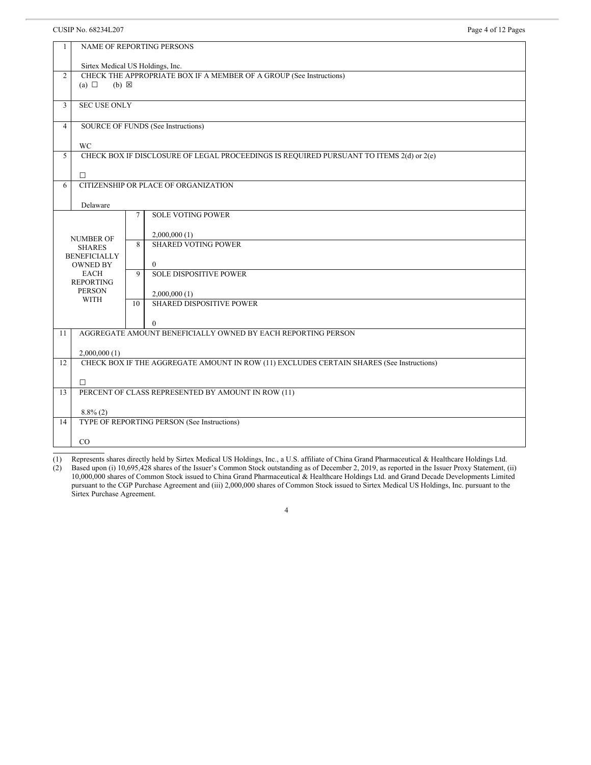#### CUSIP No. 68234L207 Page 4 of 12 Pages

| $\mathbf{1}$   | NAME OF REPORTING PERSONS                          |                 |                                                                                          |  |
|----------------|----------------------------------------------------|-----------------|------------------------------------------------------------------------------------------|--|
|                | Sirtex Medical US Holdings, Inc.                   |                 |                                                                                          |  |
| 2              |                                                    |                 | CHECK THE APPROPRIATE BOX IF A MEMBER OF A GROUP (See Instructions)                      |  |
|                | (a) $\Box$<br>$(b) \boxtimes$                      |                 |                                                                                          |  |
|                | <b>SEC USE ONLY</b>                                |                 |                                                                                          |  |
| $\mathfrak{Z}$ |                                                    |                 |                                                                                          |  |
| $\overline{4}$ | SOURCE OF FUNDS (See Instructions)                 |                 |                                                                                          |  |
|                | <b>WC</b>                                          |                 |                                                                                          |  |
| 5              |                                                    |                 | CHECK BOX IF DISCLOSURE OF LEGAL PROCEEDINGS IS REQUIRED PURSUANT TO ITEMS 2(d) or 2(e)  |  |
|                |                                                    |                 |                                                                                          |  |
|                | $\Box$                                             |                 |                                                                                          |  |
| 6              |                                                    |                 | CITIZENSHIP OR PLACE OF ORGANIZATION                                                     |  |
|                | Delaware                                           |                 |                                                                                          |  |
|                |                                                    | $7\phantom{.0}$ | <b>SOLE VOTING POWER</b>                                                                 |  |
|                |                                                    |                 |                                                                                          |  |
|                | <b>NUMBER OF</b>                                   | $\mathbf{8}$    | 2,000,000(1)<br><b>SHARED VOTING POWER</b>                                               |  |
|                | <b>SHARES</b><br><b>BENEFICIALLY</b>               |                 |                                                                                          |  |
|                | <b>OWNED BY</b>                                    |                 | $\mathbf{0}$                                                                             |  |
|                | <b>EACH</b>                                        | $\mathbf Q$     | <b>SOLE DISPOSITIVE POWER</b>                                                            |  |
|                | <b>REPORTING</b>                                   |                 |                                                                                          |  |
|                | <b>PERSON</b><br><b>WITH</b>                       |                 | 2,000,000(1)                                                                             |  |
|                |                                                    | 10              | SHARED DISPOSITIVE POWER                                                                 |  |
|                |                                                    |                 | $\theta$                                                                                 |  |
| 11             |                                                    |                 | AGGREGATE AMOUNT BENEFICIALLY OWNED BY EACH REPORTING PERSON                             |  |
|                |                                                    |                 |                                                                                          |  |
|                | 2,000,000(1)                                       |                 |                                                                                          |  |
| 12             |                                                    |                 | CHECK BOX IF THE AGGREGATE AMOUNT IN ROW (11) EXCLUDES CERTAIN SHARES (See Instructions) |  |
|                | $\Box$                                             |                 |                                                                                          |  |
| 13             | PERCENT OF CLASS REPRESENTED BY AMOUNT IN ROW (11) |                 |                                                                                          |  |
|                |                                                    |                 |                                                                                          |  |
|                | $8.8\%$ (2)                                        |                 |                                                                                          |  |
| 14             | TYPE OF REPORTING PERSON (See Instructions)        |                 |                                                                                          |  |
|                | CO                                                 |                 |                                                                                          |  |
|                |                                                    |                 |                                                                                          |  |

(1) Represents shares directly held by Sirtex Medical US Holdings, Inc., a U.S. affiliate of China Grand Pharmaceutical & Healthcare Holdings Ltd.

(2) Based upon (i) 10,695,428 shares of the Issuer's Common Stock outstanding as of December 2, 2019, as reported in the Issuer Proxy Statement, (ii) 10,000,000 shares of Common Stock issued to China Grand Pharmaceutical & Healthcare Holdings Ltd. and Grand Decade Developments Limited pursuant to the CGP Purchase Agreement and (iii) 2,000,000 shares of Common Stock issued to Sirtex Medical US Holdings, Inc. pursuant to the Sirtex Purchase Agreement.

4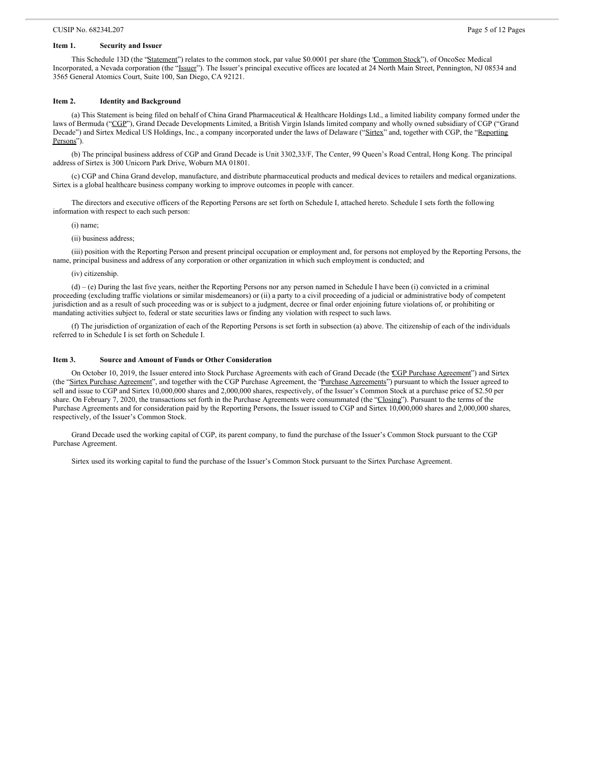# **Item 1. Security and Issuer**

This Schedule 13D (the "Statement") relates to the common stock, par value \$0.0001 per share (the 'Common Stock"), of OncoSec Medical Incorporated, a Nevada corporation (the "Issuer"). The Issuer's principal executive offices are located at 24 North Main Street, Pennington, NJ 08534 and 3565 General Atomics Court, Suite 100, San Diego, CA 92121.

#### **Item 2. Identity and Background**

(a) This Statement is being filed on behalf of China Grand Pharmaceutical & Healthcare Holdings Ltd., a limited liability company formed under the laws of Bermuda ("CGP"), Grand Decade Developments Limited, a British Virgin Islands limited company and wholly owned subsidiary of CGP ("Grand Decade") and Sirtex Medical US Holdings, Inc., a company incorporated under the laws of Delaware ("Sirtex" and, together with CGP, the "Reporting Persons").

(b) The principal business address of CGP and Grand Decade is Unit 3302,33/F, The Center, 99 Queen's Road Central, Hong Kong. The principal address of Sirtex is 300 Unicorn Park Drive, Woburn MA 01801.

(c) CGP and China Grand develop, manufacture, and distribute pharmaceutical products and medical devices to retailers and medical organizations. Sirtex is a global healthcare business company working to improve outcomes in people with cancer.

The directors and executive officers of the Reporting Persons are set forth on Schedule I, attached hereto. Schedule I sets forth the following information with respect to each such person:

(i) name;

(ii) business address;

(iii) position with the Reporting Person and present principal occupation or employment and, for persons not employed by the Reporting Persons, the name, principal business and address of any corporation or other organization in which such employment is conducted; and

(iv) citizenship.

(d) – (e) During the last five years, neither the Reporting Persons nor any person named in Schedule I have been (i) convicted in a criminal proceeding (excluding traffic violations or similar misdemeanors) or (ii) a party to a civil proceeding of a judicial or administrative body of competent jurisdiction and as a result of such proceeding was or is subject to a judgment, decree or final order enjoining future violations of, or prohibiting or mandating activities subject to, federal or state securities laws or finding any violation with respect to such laws.

(f) The jurisdiction of organization of each of the Reporting Persons is set forth in subsection (a) above. The citizenship of each of the individuals referred to in Schedule I is set forth on Schedule I.

#### **Item 3. Source and Amount of Funds or Other Consideration**

On October 10, 2019, the Issuer entered into Stock Purchase Agreements with each of Grand Decade (the CGP Purchase Agreement") and Sirtex (the "Sirtex Purchase Agreement", and together with the CGP Purchase Agreement, the "Purchase Agreements") pursuant to which the Issuer agreed to sell and issue to CGP and Sirtex 10,000,000 shares and 2,000,000 shares, respectively, of the Issuer's Common Stock at a purchase price of \$2.50 per share. On February 7, 2020, the transactions set forth in the Purchase Agreements were consummated (the "Closing"). Pursuant to the terms of the Purchase Agreements and for consideration paid by the Reporting Persons, the Issuer issued to CGP and Sirtex 10,000,000 shares and 2,000,000 shares, respectively, of the Issuer's Common Stock.

Grand Decade used the working capital of CGP, its parent company, to fund the purchase of the Issuer's Common Stock pursuant to the CGP Purchase Agreement.

Sirtex used its working capital to fund the purchase of the Issuer's Common Stock pursuant to the Sirtex Purchase Agreement.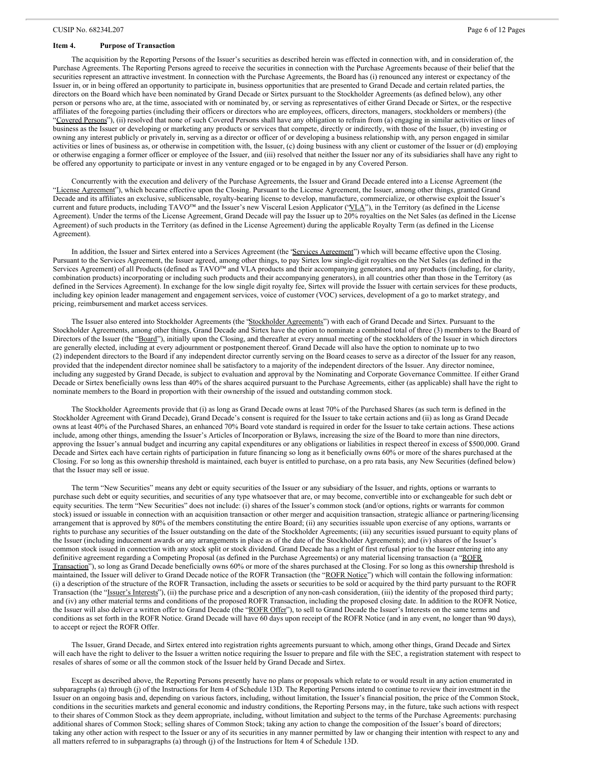#### **Item 4. Purpose of Transaction**

The acquisition by the Reporting Persons of the Issuer's securities as described herein was effected in connection with, and in consideration of, the Purchase Agreements. The Reporting Persons agreed to receive the securities in connection with the Purchase Agreements because of their belief that the securities represent an attractive investment. In connection with the Purchase Agreements, the Board has (i) renounced any interest or expectancy of the Issuer in, or in being offered an opportunity to participate in, business opportunities that are presented to Grand Decade and certain related parties, the directors on the Board which have been nominated by Grand Decade or Sirtex pursuant to the Stockholder Agreements (as defined below), any other person or persons who are, at the time, associated with or nominated by, or serving as representatives of either Grand Decade or Sirtex, or the respective affiliates of the foregoing parties (including their officers or directors who are employees, officers, directors, managers, stockholders or members) (the "Covered Persons"), (ii) resolved that none of such Covered Persons shall have any obligation to refrain from (a) engaging in similar activities or lines of business as the Issuer or developing or marketing any products or services that compete, directly or indirectly, with those of the Issuer, (b) investing or owning any interest publicly or privately in, serving as a director or officer of or developing a business relationship with, any person engaged in similar activities or lines of business as, or otherwise in competition with, the Issuer, (c) doing business with any client or customer of the Issuer or (d) employing or otherwise engaging a former officer or employee of the Issuer, and (iii) resolved that neither the Issuer nor any of its subsidiaries shall have any right to be offered any opportunity to participate or invest in any venture engaged or to be engaged in by any Covered Person.

Concurrently with the execution and delivery of the Purchase Agreements, the Issuer and Grand Decade entered into a License Agreement (the "License Agreement"), which became effective upon the Closing. Pursuant to the License Agreement, the Issuer, among other things, granted Grand Decade and its affiliates an exclusive, sublicensable, royalty-bearing license to develop, manufacture, commercialize, or otherwise exploit the Issuer's current and future products, including TAVO™ and the Issuer's new Visceral Lesion Applicator ("VLA"), in the Territory (as defined in the License Agreement). Under the terms of the License Agreement, Grand Decade will pay the Issuer up to 20% royalties on the Net Sales (as defined in the License Agreement) of such products in the Territory (as defined in the License Agreement) during the applicable Royalty Term (as defined in the License Agreement).

In addition, the Issuer and Sirtex entered into a Services Agreement (the 'Services Agreement') which will became effective upon the Closing. Pursuant to the Services Agreement, the Issuer agreed, among other things, to pay Sirtex low single-digit royalties on the Net Sales (as defined in the Services Agreement) of all Products (defined as TAVO™ and VLA products and their accompanying generators, and any products (including, for clarity, combination products) incorporating or including such products and their accompanying generators), in all countries other than those in the Territory (as defined in the Services Agreement). In exchange for the low single digit royalty fee, Sirtex will provide the Issuer with certain services for these products, including key opinion leader management and engagement services, voice of customer (VOC) services, development of a go to market strategy, and pricing, reimbursement and market access services.

The Issuer also entered into Stockholder Agreements (the 'Stockholder Agreements'') with each of Grand Decade and Sirtex. Pursuant to the Stockholder Agreements, among other things, Grand Decade and Sirtex have the option to nominate a combined total of three (3) members to the Board of Directors of the Issuer (the "Board"), initially upon the Closing, and thereafter at every annual meeting of the stockholders of the Issuer in which directors are generally elected, including at every adjournment or postponement thereof. Grand Decade will also have the option to nominate up to two (2) independent directors to the Board if any independent director currently serving on the Board ceases to serve as a director of the Issuer for any reason, provided that the independent director nominee shall be satisfactory to a majority of the independent directors of the Issuer. Any director nominee, including any suggested by Grand Decade, is subject to evaluation and approval by the Nominating and Corporate Governance Committee. If either Grand Decade or Sirtex beneficially owns less than 40% of the shares acquired pursuant to the Purchase Agreements, either (as applicable) shall have the right to nominate members to the Board in proportion with their ownership of the issued and outstanding common stock.

The Stockholder Agreements provide that (i) as long as Grand Decade owns at least 70% of the Purchased Shares (as such term is defined in the Stockholder Agreement with Grand Decade), Grand Decade's consent is required for the Issuer to take certain actions and (ii) as long as Grand Decade owns at least 40% of the Purchased Shares, an enhanced 70% Board vote standard is required in order for the Issuer to take certain actions. These actions include, among other things, amending the Issuer's Articles of Incorporation or Bylaws, increasing the size of the Board to more than nine directors, approving the Issuer's annual budget and incurring any capital expenditures or any obligations or liabilities in respect thereof in excess of \$500,000. Grand Decade and Sirtex each have certain rights of participation in future financing so long as it beneficially owns 60% or more of the shares purchased at the Closing. For so long as this ownership threshold is maintained, each buyer is entitled to purchase, on a pro rata basis, any New Securities (defined below) that the Issuer may sell or issue.

The term "New Securities" means any debt or equity securities of the Issuer or any subsidiary of the Issuer, and rights, options or warrants to purchase such debt or equity securities, and securities of any type whatsoever that are, or may become, convertible into or exchangeable for such debt or equity securities. The term "New Securities" does not include: (i) shares of the Issuer's common stock (and/or options, rights or warrants for common stock) issued or issuable in connection with an acquisition transaction or other merger and acquisition transaction, strategic alliance or partnering/licensing arrangement that is approved by 80% of the members constituting the entire Board; (ii) any securities issuable upon exercise of any options, warrants or rights to purchase any securities of the Issuer outstanding on the date of the Stockholder Agreements; (iii) any securities issued pursuant to equity plans of the Issuer (including inducement awards or any arrangements in place as of the date of the Stockholder Agreements); and (iv) shares of the Issuer' common stock issued in connection with any stock split or stock dividend. Grand Decade has a right of first refusal prior to the Issuer entering into any definitive agreement regarding a Competing Proposal (as defined in the Purchase Agreements) or any material licensing transaction (a "ROFR Transaction"), so long as Grand Decade beneficially owns 60% or more of the shares purchased at the Closing. For so long as this ownership threshold is maintained, the Issuer will deliver to Grand Decade notice of the ROFR Transaction (the "ROFR Notice") which will contain the following information: (i) a description of the structure of the ROFR Transaction, including the assets or securities to be sold or acquired by the third party pursuant to the ROFR Transaction (the "Issuer's Interests"), (ii) the purchase price and a description of any non-cash consideration, (iii) the identity of the proposed third party; and (iv) any other material terms and conditions of the proposed ROFR Transaction, including the proposed closing date. In addition to the ROFR Notice, the Issuer will also deliver a written offer to Grand Decade (the "ROFR Offer"), to sell to Grand Decade the Issuer's Interests on the same terms and conditions as set forth in the ROFR Notice. Grand Decade will have 60 days upon receipt of the ROFR Notice (and in any event, no longer than 90 days), to accept or reject the ROFR Offer.

The Issuer, Grand Decade, and Sirtex entered into registration rights agreements pursuant to which, among other things, Grand Decade and Sirtex will each have the right to deliver to the Issuer a written notice requiring the Issuer to prepare and file with the SEC, a registration statement with respect to resales of shares of some or all the common stock of the Issuer held by Grand Decade and Sirtex.

Except as described above, the Reporting Persons presently have no plans or proposals which relate to or would result in any action enumerated in subparagraphs (a) through (j) of the Instructions for Item 4 of Schedule 13D. The Reporting Persons intend to continue to review their investment in the Issuer on an ongoing basis and, depending on various factors, including, without limitation, the Issuer's financial position, the price of the Common Stock, conditions in the securities markets and general economic and industry conditions, the Reporting Persons may, in the future, take such actions with respect to their shares of Common Stock as they deem appropriate, including, without limitation and subject to the terms of the Purchase Agreements: purchasing additional shares of Common Stock; selling shares of Common Stock; taking any action to change the composition of the Issuer's board of directors; taking any other action with respect to the Issuer or any of its securities in any manner permitted by law or changing their intention with respect to any and all matters referred to in subparagraphs (a) through (j) of the Instructions for Item 4 of Schedule 13D.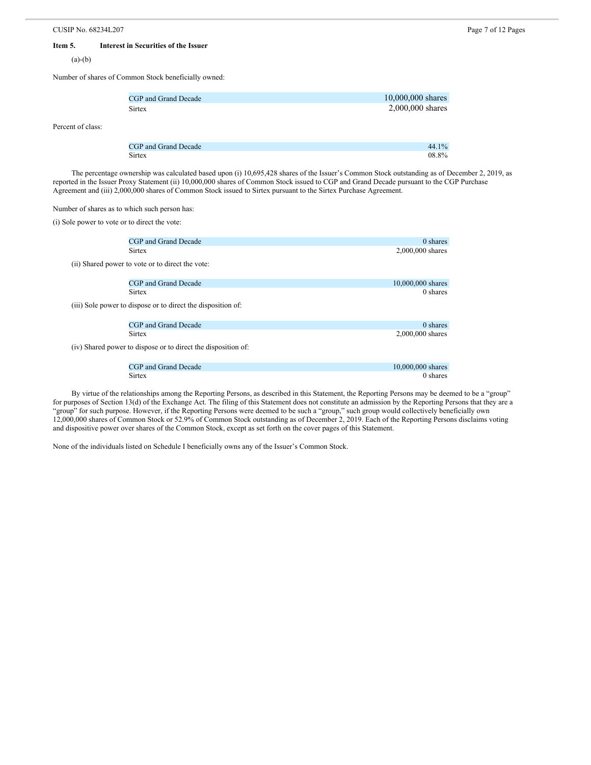### **Item 5. Interest in Securities of the Issuer**

 $(a)-(b)$ 

Percent of class:

Number of shares of Common Stock beneficially owned:

| CGP and Grand Decade | 10,000,000 shares |
|----------------------|-------------------|
| <b>Sirtex</b>        | 2,000,000 shares  |
|                      |                   |
|                      |                   |

CGP and Grand Decade 44.1% Sirtex 08.8%

The percentage ownership was calculated based upon (i) 10,695,428 shares of the Issuer's Common Stock outstanding as of December 2, 2019, as reported in the Issuer Proxy Statement (ii) 10,000,000 shares of Common Stock issued to CGP and Grand Decade pursuant to the CGP Purchase Agreement and (iii) 2,000,000 shares of Common Stock issued to Sirtex pursuant to the Sirtex Purchase Agreement.

Number of shares as to which such person has:

(i) Sole power to vote or to direct the vote:

| CGP and Grand Decade                                          | 0 shares          |
|---------------------------------------------------------------|-------------------|
|                                                               |                   |
| <b>Sirtex</b>                                                 | 2,000,000 shares  |
| (ii) Shared power to vote or to direct the vote:              |                   |
| CGP and Grand Decade                                          | 10,000,000 shares |
| <b>Sirtex</b>                                                 | 0 shares          |
| (iii) Sole power to dispose or to direct the disposition of:  |                   |
| CGP and Grand Decade                                          | 0 shares          |
| <b>Sirtex</b>                                                 | 2,000,000 shares  |
| (iv) Shared power to dispose or to direct the disposition of: |                   |
| CGP and Grand Decade                                          | 10,000,000 shares |
| <b>Sirtex</b>                                                 | 0 shares          |

By virtue of the relationships among the Reporting Persons, as described in this Statement, the Reporting Persons may be deemed to be a "group" for purposes of Section 13(d) of the Exchange Act. The filing of this Statement does not constitute an admission by the Reporting Persons that they are a "group" for such purpose. However, if the Reporting Persons were deemed to be such a "group," such group would collectively beneficially own 12,000,000 shares of Common Stock or 52.9% of Common Stock outstanding as of December 2, 2019. Each of the Reporting Persons disclaims voting and dispositive power over shares of the Common Stock, except as set forth on the cover pages of this Statement.

None of the individuals listed on Schedule I beneficially owns any of the Issuer's Common Stock.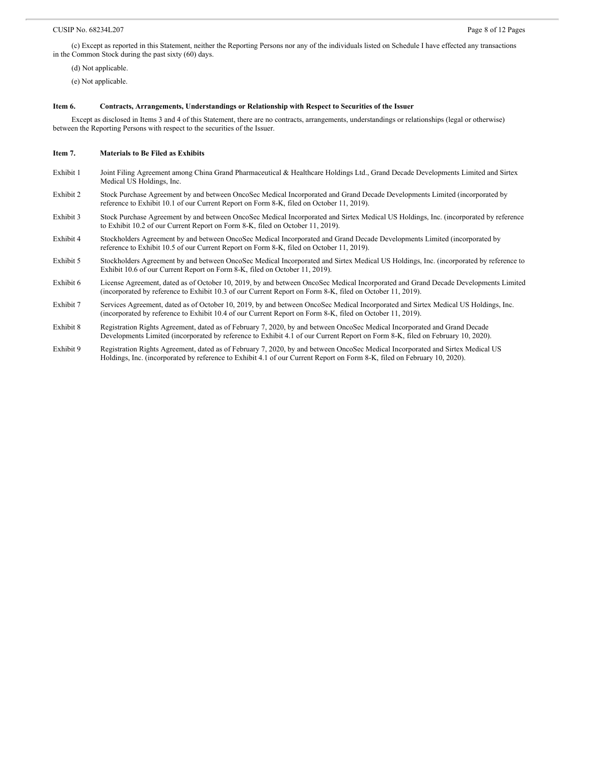(c) Except as reported in this Statement, neither the Reporting Persons nor any of the individuals listed on Schedule I have effected any transactions in the Common Stock during the past sixty (60) days.

(d) Not applicable.

(e) Not applicable.

#### **Item 6. Contracts, Arrangements, Understandings or Relationship with Respect to Securities of the Issuer**

Except as disclosed in Items 3 and 4 of this Statement, there are no contracts, arrangements, understandings or relationships (legal or otherwise) between the Reporting Persons with respect to the securities of the Issuer.

#### **Item 7. Materials to Be Filed as Exhibits**

- Exhibit 1 Joint Filing Agreement among China Grand Pharmaceutical & Healthcare Holdings Ltd., Grand Decade Developments Limited and Sirtex Medical US Holdings, Inc.
- Exhibit 2 Stock Purchase Agreement by and between OncoSec Medical Incorporated and Grand Decade Developments Limited (incorporated by reference to Exhibit 10.1 of our Current Report on Form 8-K, filed on October 11, 2019).
- Exhibit 3 Stock Purchase Agreement by and between OncoSec Medical Incorporated and Sirtex Medical US Holdings, Inc. (incorporated by reference to Exhibit 10.2 of our Current Report on Form 8-K, filed on October 11, 2019).
- Exhibit 4 Stockholders Agreement by and between OncoSec Medical Incorporated and Grand Decade Developments Limited (incorporated by reference to Exhibit 10.5 of our Current Report on Form 8-K, filed on October 11, 2019).
- Exhibit 5 Stockholders Agreement by and between OncoSec Medical Incorporated and Sirtex Medical US Holdings, Inc. (incorporated by reference to Exhibit 10.6 of our Current Report on Form 8-K, filed on October 11, 2019).
- Exhibit 6 License Agreement, dated as of October 10, 2019, by and between OncoSec Medical Incorporated and Grand Decade Developments Limited (incorporated by reference to Exhibit 10.3 of our Current Report on Form 8-K, filed on October 11, 2019).
- Exhibit 7 Services Agreement, dated as of October 10, 2019, by and between OncoSec Medical Incorporated and Sirtex Medical US Holdings, Inc. (incorporated by reference to Exhibit 10.4 of our Current Report on Form 8-K, filed on October 11, 2019).
- Exhibit 8 Registration Rights Agreement, dated as of February 7, 2020, by and between OncoSec Medical Incorporated and Grand Decade Developments Limited (incorporated by reference to Exhibit 4.1 of our Current Report on Form 8-K, filed on February 10, 2020).
- Exhibit 9 Registration Rights Agreement, dated as of February 7, 2020, by and between OncoSec Medical Incorporated and Sirtex Medical US Holdings, Inc. (incorporated by reference to Exhibit 4.1 of our Current Report on Form 8-K, filed on February 10, 2020).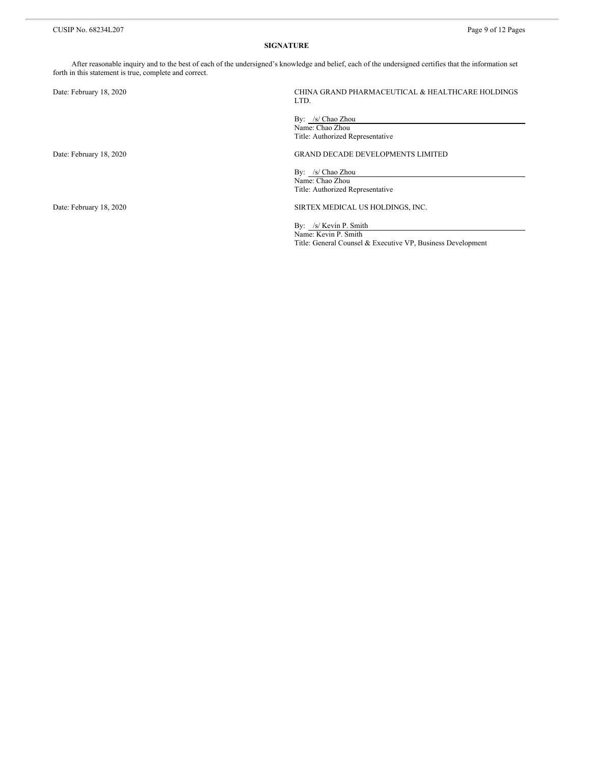#### **SIGNATURE**

After reasonable inquiry and to the best of each of the undersigned's knowledge and belief, each of the undersigned certifies that the information set forth in this statement is true, complete and correct.

| Date: February 18, 2020 | CHINA GRAND PHARMACEUTICAL & HEALTHCARE HOLDINGS<br>LTD.                                                      |
|-------------------------|---------------------------------------------------------------------------------------------------------------|
|                         | By: /s/ Chao Zhou<br>Name: Chao Zhou<br>Title: Authorized Representative                                      |
| Date: February 18, 2020 | <b>GRAND DECADE DEVELOPMENTS LIMITED</b>                                                                      |
|                         | By: /s/ Chao Zhou<br>Name: Chao Zhou<br>Title: Authorized Representative                                      |
| Date: February 18, 2020 | SIRTEX MEDICAL US HOLDINGS, INC.                                                                              |
|                         | By: /s/ Kevin P. Smith<br>Name: Kevin P. Smith<br>Title: General Counsel & Executive VP, Business Development |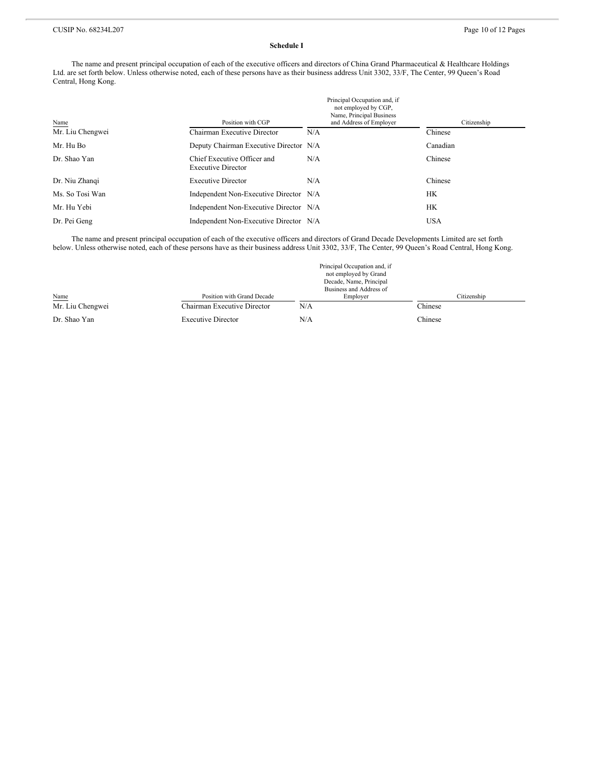#### **Schedule I**

The name and present principal occupation of each of the executive officers and directors of China Grand Pharmaceutical & Healthcare Holdings Ltd. are set forth below. Unless otherwise noted, each of these persons have as their business address Unit 3302, 33/F, The Center, 99 Queen's Road Central, Hong Kong.

| Name             | Position with CGP                                        | Principal Occupation and, if<br>not employed by CGP,<br>Name, Principal Business<br>and Address of Employer | Citizenship |  |
|------------------|----------------------------------------------------------|-------------------------------------------------------------------------------------------------------------|-------------|--|
| Mr. Liu Chengwei | Chairman Executive Director                              | N/A                                                                                                         | Chinese     |  |
| Mr. Hu Bo        | Deputy Chairman Executive Director N/A                   |                                                                                                             | Canadian    |  |
| Dr. Shao Yan     | Chief Executive Officer and<br><b>Executive Director</b> | N/A                                                                                                         | Chinese     |  |
| Dr. Niu Zhangi   | <b>Executive Director</b>                                | N/A                                                                                                         | Chinese     |  |
| Ms. So Tosi Wan  | Independent Non-Executive Director N/A                   |                                                                                                             | HК          |  |
| Mr. Hu Yebi      | Independent Non-Executive Director N/A                   |                                                                                                             | HК          |  |
| Dr. Pei Geng     | Independent Non-Executive Director N/A                   |                                                                                                             | <b>USA</b>  |  |

The name and present principal occupation of each of the executive officers and directors of Grand Decade Developments Limited are set forth below. Unless otherwise noted, each of these persons have as their business address Unit 3302, 33/F, The Center, 99 Queen's Road Central, Hong Kong.

|                  |                             | Principal Occupation and, if<br>not employed by Grand<br>Decade, Name, Principal<br>Business and Address of |             |
|------------------|-----------------------------|-------------------------------------------------------------------------------------------------------------|-------------|
| Name             | Position with Grand Decade  | Employer                                                                                                    | Citizenship |
| Mr. Liu Chengwei | Chairman Executive Director | N/A                                                                                                         | Chinese     |
| Dr. Shao Yan     | <b>Executive Director</b>   | N/A                                                                                                         | Chinese     |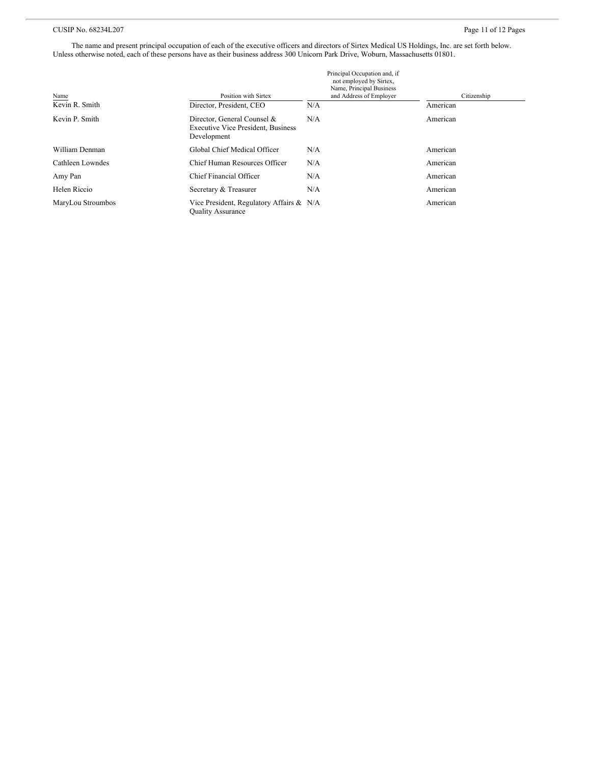## CUSIP No. 68234L207 Page 11 of 12 Pages

The name and present principal occupation of each of the executive officers and directors of Sirtex Medical US Holdings, Inc. are set forth below. Unless otherwise noted, each of these persons have as their business address 300 Unicorn Park Drive, Woburn, Massachusetts 01801.

| Name              | Position with Sirtex                                                                    | Principal Occupation and, if<br>not employed by Sirtex,<br>Name, Principal Business<br>and Address of Employer | Citizenship |
|-------------------|-----------------------------------------------------------------------------------------|----------------------------------------------------------------------------------------------------------------|-------------|
| Kevin R. Smith    | Director, President, CEO                                                                | N/A                                                                                                            | American    |
| Kevin P. Smith    | Director, General Counsel &<br><b>Executive Vice President, Business</b><br>Development | N/A                                                                                                            | American    |
| William Denman    | Global Chief Medical Officer                                                            | N/A                                                                                                            | American    |
| Cathleen Lowndes  | Chief Human Resources Officer                                                           | N/A                                                                                                            | American    |
| Amy Pan           | Chief Financial Officer                                                                 | N/A                                                                                                            | American    |
| Helen Riccio      | Secretary & Treasurer                                                                   | N/A                                                                                                            | American    |
| MaryLou Stroumbos | Vice President, Regulatory Affairs & N/A<br><b>Ouality Assurance</b>                    |                                                                                                                | American    |